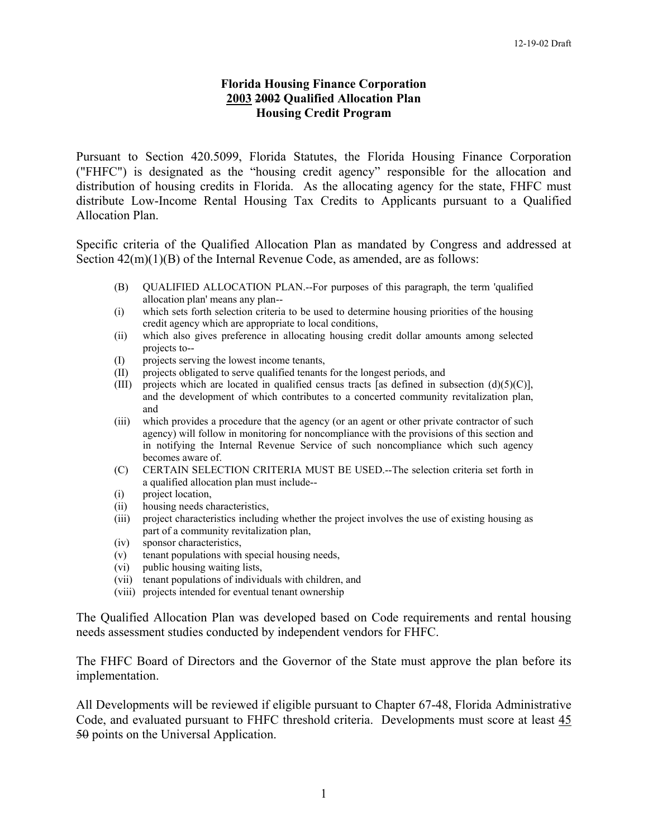### **Florida Housing Finance Corporation 2003 2002 Qualified Allocation Plan Housing Credit Program**

Pursuant to Section 420.5099, Florida Statutes, the Florida Housing Finance Corporation ("FHFC") is designated as the "housing credit agency" responsible for the allocation and distribution of housing credits in Florida. As the allocating agency for the state, FHFC must distribute Low-Income Rental Housing Tax Credits to Applicants pursuant to a Qualified Allocation Plan.

Specific criteria of the Qualified Allocation Plan as mandated by Congress and addressed at Section  $42(m)(1)(B)$  of the Internal Revenue Code, as amended, are as follows:

- (B) QUALIFIED ALLOCATION PLAN.--For purposes of this paragraph, the term 'qualified allocation plan' means any plan--
- (i) which sets forth selection criteria to be used to determine housing priorities of the housing credit agency which are appropriate to local conditions,
- (ii) which also gives preference in allocating housing credit dollar amounts among selected projects to--
- (I) projects serving the lowest income tenants,
- (II) projects obligated to serve qualified tenants for the longest periods, and
- (III) projects which are located in qualified census tracts [as defined in subsection  $(d)(5)(C)$ ], and the development of which contributes to a concerted community revitalization plan, and
- (iii) which provides a procedure that the agency (or an agent or other private contractor of such agency) will follow in monitoring for noncompliance with the provisions of this section and in notifying the Internal Revenue Service of such noncompliance which such agency becomes aware of.
- (C) CERTAIN SELECTION CRITERIA MUST BE USED.--The selection criteria set forth in a qualified allocation plan must include--
- (i) project location,
- (ii) housing needs characteristics,
- (iii) project characteristics including whether the project involves the use of existing housing as part of a community revitalization plan,
- (iv) sponsor characteristics,
- (v) tenant populations with special housing needs,
- (vi) public housing waiting lists,
- (vii) tenant populations of individuals with children, and
- (viii) projects intended for eventual tenant ownership

The Qualified Allocation Plan was developed based on Code requirements and rental housing needs assessment studies conducted by independent vendors for FHFC.

The FHFC Board of Directors and the Governor of the State must approve the plan before its implementation.

All Developments will be reviewed if eligible pursuant to Chapter 67-48, Florida Administrative Code, and evaluated pursuant to FHFC threshold criteria. Developments must score at least 45 50 points on the Universal Application.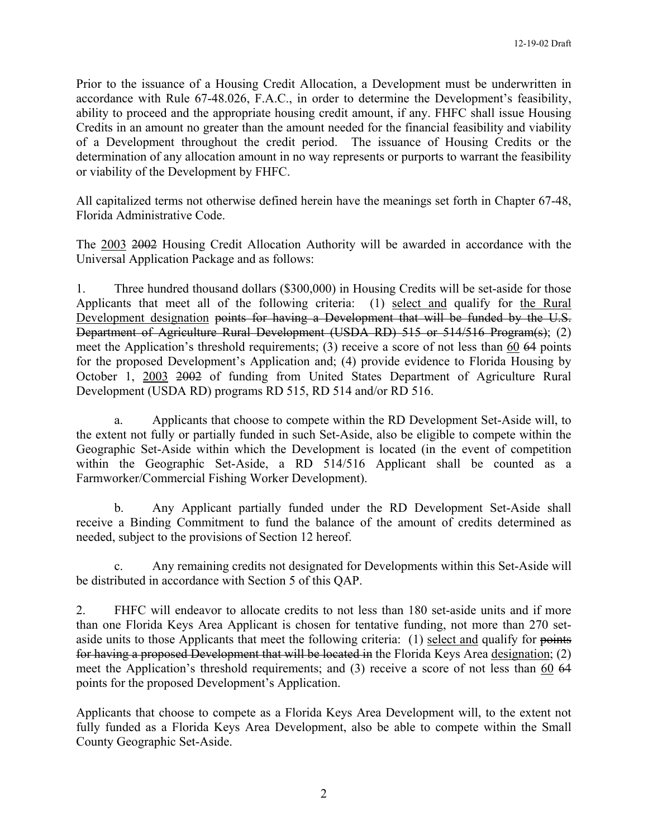Prior to the issuance of a Housing Credit Allocation, a Development must be underwritten in accordance with Rule 67-48.026, F.A.C., in order to determine the Development's feasibility, ability to proceed and the appropriate housing credit amount, if any. FHFC shall issue Housing Credits in an amount no greater than the amount needed for the financial feasibility and viability of a Development throughout the credit period. The issuance of Housing Credits or the determination of any allocation amount in no way represents or purports to warrant the feasibility or viability of the Development by FHFC.

All capitalized terms not otherwise defined herein have the meanings set forth in Chapter 67-48, Florida Administrative Code.

The 2003 2002 Housing Credit Allocation Authority will be awarded in accordance with the Universal Application Package and as follows:

1. Three hundred thousand dollars (\$300,000) in Housing Credits will be set-aside for those Applicants that meet all of the following criteria: (1) select and qualify for the Rural Development designation points for having a Development that will be funded by the U.S. Department of Agriculture Rural Development (USDA RD) 515 or 514/516 Program(s); (2) meet the Application's threshold requirements; (3) receive a score of not less than 60 64 points for the proposed Development's Application and; (4) provide evidence to Florida Housing by October 1, 2003 2002 of funding from United States Department of Agriculture Rural Development (USDA RD) programs RD 515, RD 514 and/or RD 516.

a. Applicants that choose to compete within the RD Development Set-Aside will, to the extent not fully or partially funded in such Set-Aside, also be eligible to compete within the Geographic Set-Aside within which the Development is located (in the event of competition within the Geographic Set-Aside, a RD 514/516 Applicant shall be counted as a Farmworker/Commercial Fishing Worker Development).

b. Any Applicant partially funded under the RD Development Set-Aside shall receive a Binding Commitment to fund the balance of the amount of credits determined as needed, subject to the provisions of Section 12 hereof.

c. Any remaining credits not designated for Developments within this Set-Aside will be distributed in accordance with Section 5 of this QAP.

2. FHFC will endeavor to allocate credits to not less than 180 set-aside units and if more than one Florida Keys Area Applicant is chosen for tentative funding, not more than 270 setaside units to those Applicants that meet the following criteria: (1) select and qualify for points for having a proposed Development that will be located in the Florida Keys Area designation; (2) meet the Application's threshold requirements; and (3) receive a score of not less than 60 64 points for the proposed Development's Application.

Applicants that choose to compete as a Florida Keys Area Development will, to the extent not fully funded as a Florida Keys Area Development, also be able to compete within the Small County Geographic Set-Aside.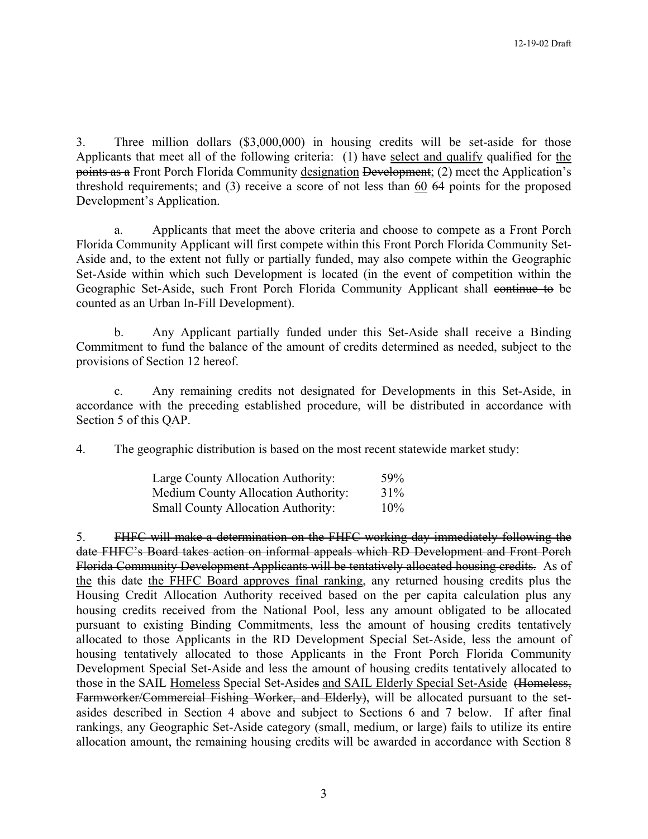3. Three million dollars (\$3,000,000) in housing credits will be set-aside for those Applicants that meet all of the following criteria: (1) have select and qualify qualified for the points as a Front Porch Florida Community designation Development; (2) meet the Application's threshold requirements; and (3) receive a score of not less than 60 64 points for the proposed Development's Application.

a. Applicants that meet the above criteria and choose to compete as a Front Porch Florida Community Applicant will first compete within this Front Porch Florida Community Set-Aside and, to the extent not fully or partially funded, may also compete within the Geographic Set-Aside within which such Development is located (in the event of competition within the Geographic Set-Aside, such Front Porch Florida Community Applicant shall continue to be counted as an Urban In-Fill Development).

b. Any Applicant partially funded under this Set-Aside shall receive a Binding Commitment to fund the balance of the amount of credits determined as needed, subject to the provisions of Section 12 hereof.

c. Any remaining credits not designated for Developments in this Set-Aside, in accordance with the preceding established procedure, will be distributed in accordance with Section 5 of this QAP.

4. The geographic distribution is based on the most recent statewide market study:

| Large County Allocation Authority:        | 59% |
|-------------------------------------------|-----|
| Medium County Allocation Authority:       | 31% |
| <b>Small County Allocation Authority:</b> | 10% |

5. FHFC will make a determination on the FHFC working day immediately following the date FHFC's Board takes action on informal appeals which RD Development and Front Porch Florida Community Development Applicants will be tentatively allocated housing credits. As of the this date the FHFC Board approves final ranking, any returned housing credits plus the Housing Credit Allocation Authority received based on the per capita calculation plus any housing credits received from the National Pool, less any amount obligated to be allocated pursuant to existing Binding Commitments, less the amount of housing credits tentatively allocated to those Applicants in the RD Development Special Set-Aside, less the amount of housing tentatively allocated to those Applicants in the Front Porch Florida Community Development Special Set-Aside and less the amount of housing credits tentatively allocated to those in the SAIL Homeless Special Set-Asides and SAIL Elderly Special Set-Aside (Homeless, Farmworker/Commercial Fishing Worker, and Elderly), will be allocated pursuant to the setasides described in Section 4 above and subject to Sections 6 and 7 below. If after final rankings, any Geographic Set-Aside category (small, medium, or large) fails to utilize its entire allocation amount, the remaining housing credits will be awarded in accordance with Section 8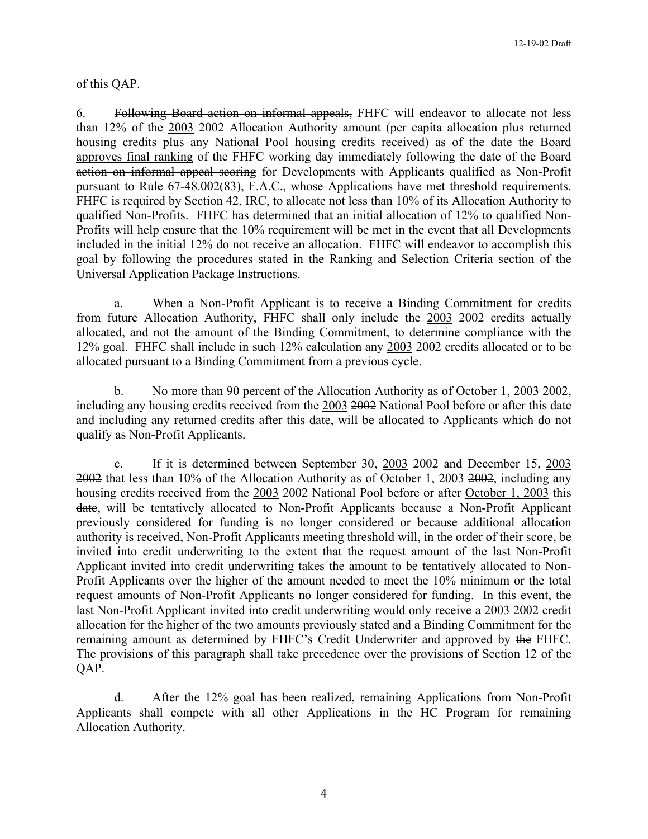#### of this QAP.

6. Following Board action on informal appeals, FHFC will endeavor to allocate not less than 12% of the 2003 2002 Allocation Authority amount (per capita allocation plus returned housing credits plus any National Pool housing credits received) as of the date the Board approves final ranking of the FHFC working day immediately following the date of the Board action on informal appeal scoring for Developments with Applicants qualified as Non-Profit pursuant to Rule 67-48.002(83), F.A.C., whose Applications have met threshold requirements. FHFC is required by Section 42, IRC, to allocate not less than 10% of its Allocation Authority to qualified Non-Profits. FHFC has determined that an initial allocation of 12% to qualified Non-Profits will help ensure that the 10% requirement will be met in the event that all Developments included in the initial 12% do not receive an allocation. FHFC will endeavor to accomplish this goal by following the procedures stated in the Ranking and Selection Criteria section of the Universal Application Package Instructions.

a. When a Non-Profit Applicant is to receive a Binding Commitment for credits from future Allocation Authority, FHFC shall only include the 2003 2002 credits actually allocated, and not the amount of the Binding Commitment, to determine compliance with the 12% goal. FHFC shall include in such 12% calculation any 2003 2002 credits allocated or to be allocated pursuant to a Binding Commitment from a previous cycle.

b. No more than 90 percent of the Allocation Authority as of October 1, 2003 2002, including any housing credits received from the 2003 2002 National Pool before or after this date and including any returned credits after this date, will be allocated to Applicants which do not qualify as Non-Profit Applicants.

c. If it is determined between September 30, 2003 2002 and December 15, 2003 2002 that less than 10% of the Allocation Authority as of October 1, 2003 2002, including any housing credits received from the 2003 2002 National Pool before or after October 1, 2003 this date, will be tentatively allocated to Non-Profit Applicants because a Non-Profit Applicant previously considered for funding is no longer considered or because additional allocation authority is received, Non-Profit Applicants meeting threshold will, in the order of their score, be invited into credit underwriting to the extent that the request amount of the last Non-Profit Applicant invited into credit underwriting takes the amount to be tentatively allocated to Non-Profit Applicants over the higher of the amount needed to meet the 10% minimum or the total request amounts of Non-Profit Applicants no longer considered for funding. In this event, the last Non-Profit Applicant invited into credit underwriting would only receive a 2003 2002 credit allocation for the higher of the two amounts previously stated and a Binding Commitment for the remaining amount as determined by FHFC's Credit Underwriter and approved by the FHFC. The provisions of this paragraph shall take precedence over the provisions of Section 12 of the QAP.

d. After the 12% goal has been realized, remaining Applications from Non-Profit Applicants shall compete with all other Applications in the HC Program for remaining Allocation Authority.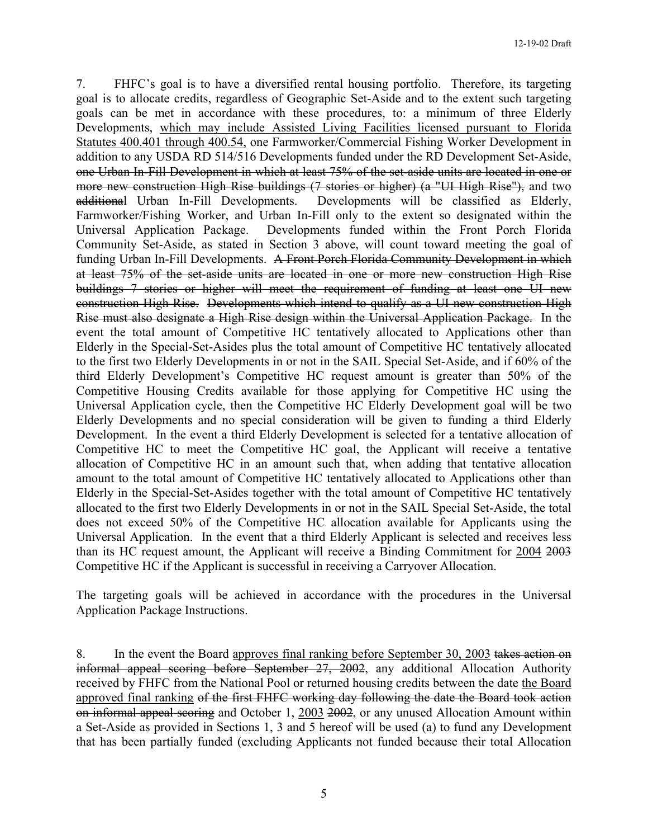7. FHFC's goal is to have a diversified rental housing portfolio. Therefore, its targeting goal is to allocate credits, regardless of Geographic Set-Aside and to the extent such targeting goals can be met in accordance with these procedures, to: a minimum of three Elderly Developments, which may include Assisted Living Facilities licensed pursuant to Florida Statutes 400.401 through 400.54, one Farmworker/Commercial Fishing Worker Development in addition to any USDA RD 514/516 Developments funded under the RD Development Set-Aside, one Urban In-Fill Development in which at least 75% of the set-aside units are located in one or more new construction High Rise buildings (7 stories or higher) (a "UI High Rise"), and two additional Urban In-Fill Developments. Developments will be classified as Elderly, Farmworker/Fishing Worker, and Urban In-Fill only to the extent so designated within the Universal Application Package. Developments funded within the Front Porch Florida Community Set-Aside, as stated in Section 3 above, will count toward meeting the goal of funding Urban In-Fill Developments. A Front Porch Florida Community Development in which at least 75% of the set-aside units are located in one or more new construction High Rise buildings 7 stories or higher will meet the requirement of funding at least one UI new construction High Rise. Developments which intend to qualify as a UI new construction High Rise must also designate a High Rise design within the Universal Application Package. In the event the total amount of Competitive HC tentatively allocated to Applications other than Elderly in the Special-Set-Asides plus the total amount of Competitive HC tentatively allocated to the first two Elderly Developments in or not in the SAIL Special Set-Aside, and if 60% of the third Elderly Development's Competitive HC request amount is greater than 50% of the Competitive Housing Credits available for those applying for Competitive HC using the Universal Application cycle, then the Competitive HC Elderly Development goal will be two Elderly Developments and no special consideration will be given to funding a third Elderly Development. In the event a third Elderly Development is selected for a tentative allocation of Competitive HC to meet the Competitive HC goal, the Applicant will receive a tentative allocation of Competitive HC in an amount such that, when adding that tentative allocation amount to the total amount of Competitive HC tentatively allocated to Applications other than Elderly in the Special-Set-Asides together with the total amount of Competitive HC tentatively allocated to the first two Elderly Developments in or not in the SAIL Special Set-Aside, the total does not exceed 50% of the Competitive HC allocation available for Applicants using the Universal Application. In the event that a third Elderly Applicant is selected and receives less than its HC request amount, the Applicant will receive a Binding Commitment for 2004 2003 Competitive HC if the Applicant is successful in receiving a Carryover Allocation.

The targeting goals will be achieved in accordance with the procedures in the Universal Application Package Instructions.

8. In the event the Board approves final ranking before September 30, 2003 takes action on informal appeal scoring before September 27, 2002, any additional Allocation Authority received by FHFC from the National Pool or returned housing credits between the date the Board approved final ranking of the first FHFC working day following the date the Board took action on informal appeal scoring and October 1, 2003 2002, or any unused Allocation Amount within a Set-Aside as provided in Sections 1, 3 and 5 hereof will be used (a) to fund any Development that has been partially funded (excluding Applicants not funded because their total Allocation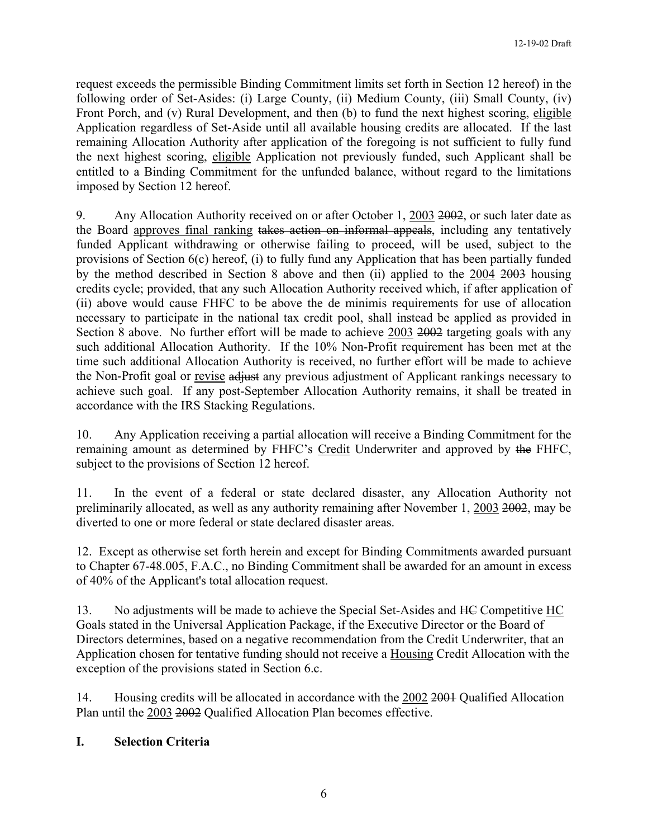request exceeds the permissible Binding Commitment limits set forth in Section 12 hereof) in the following order of Set-Asides: (i) Large County, (ii) Medium County, (iii) Small County, (iv) Front Porch, and (v) Rural Development, and then (b) to fund the next highest scoring, eligible Application regardless of Set-Aside until all available housing credits are allocated. If the last remaining Allocation Authority after application of the foregoing is not sufficient to fully fund the next highest scoring, eligible Application not previously funded, such Applicant shall be entitled to a Binding Commitment for the unfunded balance, without regard to the limitations imposed by Section 12 hereof.

9. Any Allocation Authority received on or after October 1, 2003 2002, or such later date as the Board approves final ranking takes action on informal appeals, including any tentatively funded Applicant withdrawing or otherwise failing to proceed, will be used, subject to the provisions of Section 6(c) hereof, (i) to fully fund any Application that has been partially funded by the method described in Section 8 above and then (ii) applied to the 2004 2003 housing credits cycle; provided, that any such Allocation Authority received which, if after application of (ii) above would cause FHFC to be above the de minimis requirements for use of allocation necessary to participate in the national tax credit pool, shall instead be applied as provided in Section 8 above. No further effort will be made to achieve 2003 2002 targeting goals with any such additional Allocation Authority. If the 10% Non-Profit requirement has been met at the time such additional Allocation Authority is received, no further effort will be made to achieve the Non-Profit goal or revise adjust any previous adjustment of Applicant rankings necessary to achieve such goal. If any post-September Allocation Authority remains, it shall be treated in accordance with the IRS Stacking Regulations.

10. Any Application receiving a partial allocation will receive a Binding Commitment for the remaining amount as determined by FHFC's Credit Underwriter and approved by the FHFC, subject to the provisions of Section 12 hereof.

11. In the event of a federal or state declared disaster, any Allocation Authority not preliminarily allocated, as well as any authority remaining after November 1, 2003 2002, may be diverted to one or more federal or state declared disaster areas.

12. Except as otherwise set forth herein and except for Binding Commitments awarded pursuant to Chapter 67-48.005, F.A.C., no Binding Commitment shall be awarded for an amount in excess of 40% of the Applicant's total allocation request.

13. No adjustments will be made to achieve the Special Set-Asides and HC Competitive HC Goals stated in the Universal Application Package, if the Executive Director or the Board of Directors determines, based on a negative recommendation from the Credit Underwriter, that an Application chosen for tentative funding should not receive a Housing Credit Allocation with the exception of the provisions stated in Section 6.c.

14. Housing credits will be allocated in accordance with the 2002 2001 Qualified Allocation Plan until the 2003 2002 Qualified Allocation Plan becomes effective.

# **I. Selection Criteria**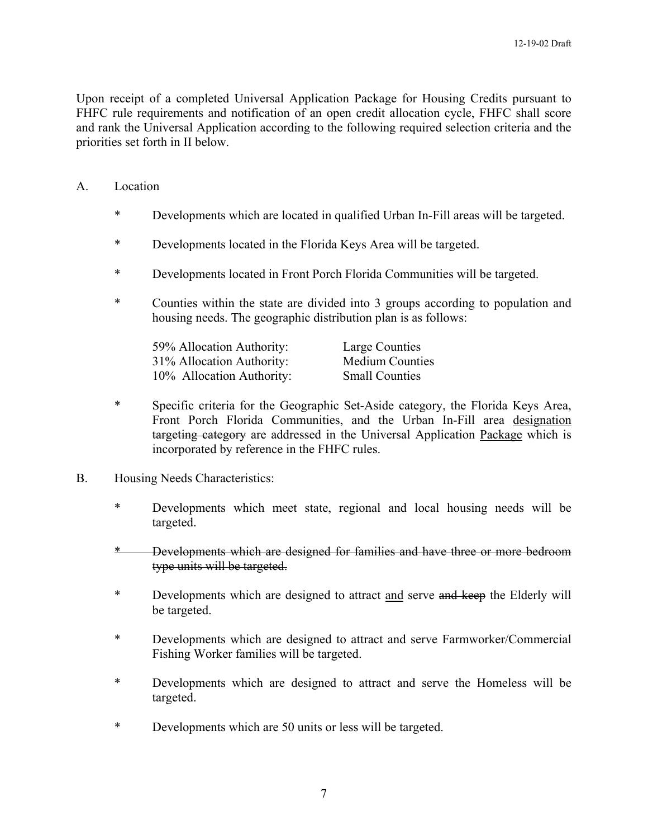Upon receipt of a completed Universal Application Package for Housing Credits pursuant to FHFC rule requirements and notification of an open credit allocation cycle, FHFC shall score and rank the Universal Application according to the following required selection criteria and the priorities set forth in II below.

- A. Location
	- \* Developments which are located in qualified Urban In-Fill areas will be targeted.
	- \* Developments located in the Florida Keys Area will be targeted.
	- \* Developments located in Front Porch Florida Communities will be targeted.
	- \* Counties within the state are divided into 3 groups according to population and housing needs. The geographic distribution plan is as follows:

| 59% Allocation Authority: | Large Counties         |
|---------------------------|------------------------|
| 31% Allocation Authority: | <b>Medium Counties</b> |
| 10% Allocation Authority: | <b>Small Counties</b>  |

- \* Specific criteria for the Geographic Set-Aside category, the Florida Keys Area, Front Porch Florida Communities, and the Urban In-Fill area designation targeting category are addressed in the Universal Application Package which is incorporated by reference in the FHFC rules.
- B. Housing Needs Characteristics:
	- \* Developments which meet state, regional and local housing needs will be targeted.
	- \* Developments which are designed for families and have three or more bedroom type units will be targeted.
	- \* Developments which are designed to attract and serve and keep the Elderly will be targeted.
	- \* Developments which are designed to attract and serve Farmworker/Commercial Fishing Worker families will be targeted.
	- \* Developments which are designed to attract and serve the Homeless will be targeted.
	- \* Developments which are 50 units or less will be targeted.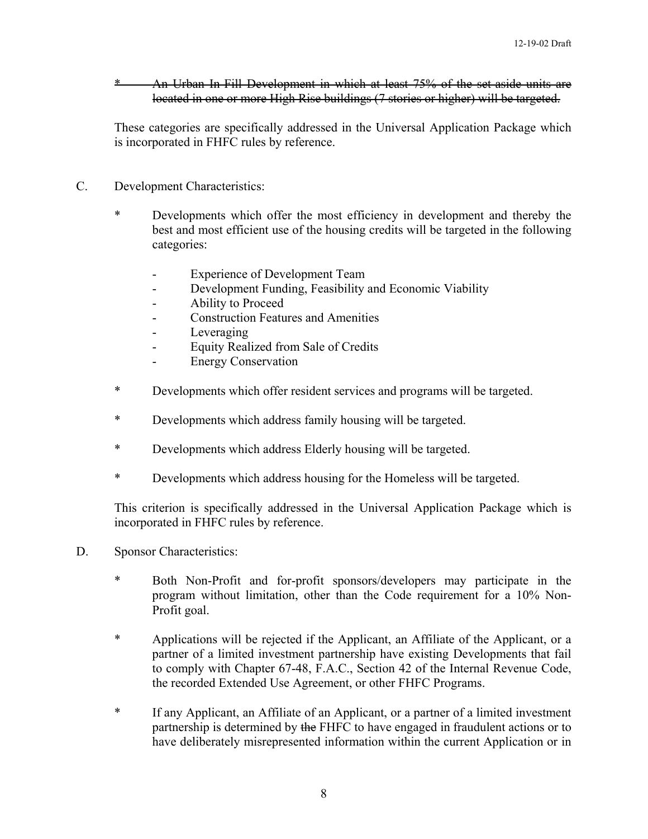\* An Urban In-Fill Development in which at least 75% of the set-aside units are located in one or more High Rise buildings (7 stories or higher) will be targeted.

These categories are specifically addressed in the Universal Application Package which is incorporated in FHFC rules by reference.

- C. Development Characteristics:
	- \* Developments which offer the most efficiency in development and thereby the best and most efficient use of the housing credits will be targeted in the following categories:
		- Experience of Development Team
		- Development Funding, Feasibility and Economic Viability
		- Ability to Proceed
		- Construction Features and Amenities
		- Leveraging
		- Equity Realized from Sale of Credits
		- Energy Conservation
	- \* Developments which offer resident services and programs will be targeted.
	- \* Developments which address family housing will be targeted.
	- \* Developments which address Elderly housing will be targeted.
	- \* Developments which address housing for the Homeless will be targeted.

This criterion is specifically addressed in the Universal Application Package which is incorporated in FHFC rules by reference.

- D. Sponsor Characteristics:
	- \* Both Non-Profit and for-profit sponsors/developers may participate in the program without limitation, other than the Code requirement for a 10% Non-Profit goal.
	- \* Applications will be rejected if the Applicant, an Affiliate of the Applicant, or a partner of a limited investment partnership have existing Developments that fail to comply with Chapter 67-48, F.A.C., Section 42 of the Internal Revenue Code, the recorded Extended Use Agreement, or other FHFC Programs.
	- \* If any Applicant, an Affiliate of an Applicant, or a partner of a limited investment partnership is determined by the FHFC to have engaged in fraudulent actions or to have deliberately misrepresented information within the current Application or in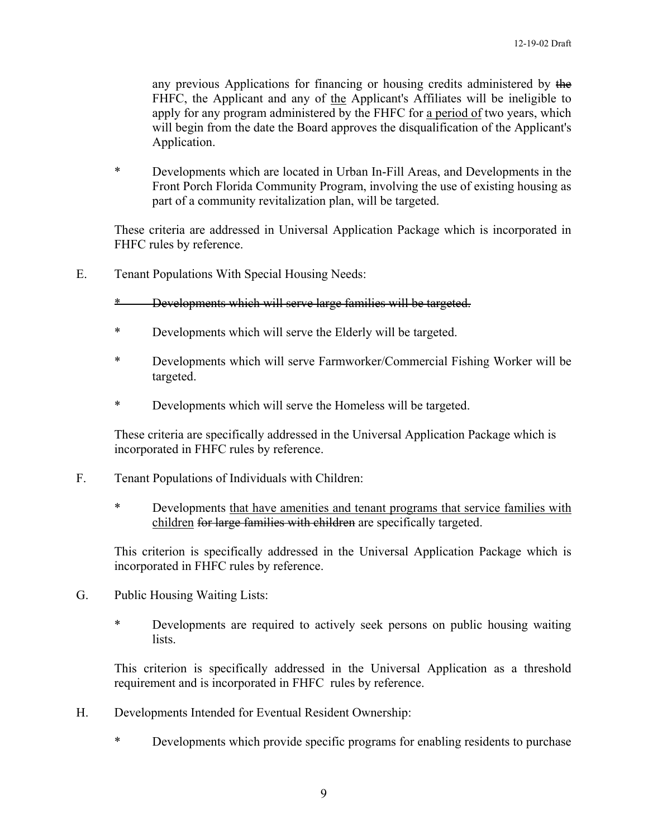any previous Applications for financing or housing credits administered by the FHFC, the Applicant and any of the Applicant's Affiliates will be ineligible to apply for any program administered by the FHFC for a period of two years, which will begin from the date the Board approves the disqualification of the Applicant's Application.

\* Developments which are located in Urban In-Fill Areas, and Developments in the Front Porch Florida Community Program, involving the use of existing housing as part of a community revitalization plan, will be targeted.

These criteria are addressed in Universal Application Package which is incorporated in FHFC rules by reference.

E. Tenant Populations With Special Housing Needs:

## \* Developments which will serve large families will be targeted.

- \* Developments which will serve the Elderly will be targeted.
- \* Developments which will serve Farmworker/Commercial Fishing Worker will be targeted.
- \* Developments which will serve the Homeless will be targeted.

 These criteria are specifically addressed in the Universal Application Package which is incorporated in FHFC rules by reference.

- F. Tenant Populations of Individuals with Children:
	- \* Developments that have amenities and tenant programs that service families with children for large families with children are specifically targeted.

This criterion is specifically addressed in the Universal Application Package which is incorporated in FHFC rules by reference.

- G. Public Housing Waiting Lists:
	- \* Developments are required to actively seek persons on public housing waiting lists.

This criterion is specifically addressed in the Universal Application as a threshold requirement and is incorporated in FHFC rules by reference.

- H. Developments Intended for Eventual Resident Ownership:
	- \* Developments which provide specific programs for enabling residents to purchase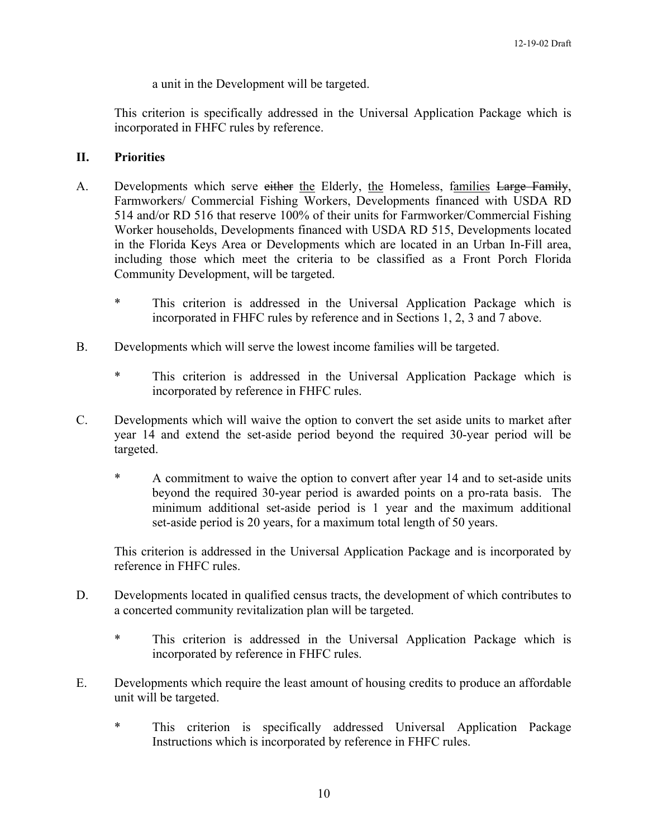a unit in the Development will be targeted.

This criterion is specifically addressed in the Universal Application Package which is incorporated in FHFC rules by reference.

### **II. Priorities**

- A. Developments which serve either the Elderly, the Homeless, families Large Family, Farmworkers/ Commercial Fishing Workers, Developments financed with USDA RD 514 and/or RD 516 that reserve 100% of their units for Farmworker/Commercial Fishing Worker households, Developments financed with USDA RD 515, Developments located in the Florida Keys Area or Developments which are located in an Urban In-Fill area, including those which meet the criteria to be classified as a Front Porch Florida Community Development, will be targeted.
	- \* This criterion is addressed in the Universal Application Package which is incorporated in FHFC rules by reference and in Sections 1, 2, 3 and 7 above.
- B. Developments which will serve the lowest income families will be targeted.
	- \* This criterion is addressed in the Universal Application Package which is incorporated by reference in FHFC rules.
- C. Developments which will waive the option to convert the set aside units to market after year 14 and extend the set-aside period beyond the required 30-year period will be targeted.
	- \* A commitment to waive the option to convert after year 14 and to set-aside units beyond the required 30-year period is awarded points on a pro-rata basis. The minimum additional set-aside period is 1 year and the maximum additional set-aside period is 20 years, for a maximum total length of 50 years.

This criterion is addressed in the Universal Application Package and is incorporated by reference in FHFC rules.

- D. Developments located in qualified census tracts, the development of which contributes to a concerted community revitalization plan will be targeted.
	- \* This criterion is addressed in the Universal Application Package which is incorporated by reference in FHFC rules.
- E. Developments which require the least amount of housing credits to produce an affordable unit will be targeted.
	- \* This criterion is specifically addressed Universal Application Package Instructions which is incorporated by reference in FHFC rules.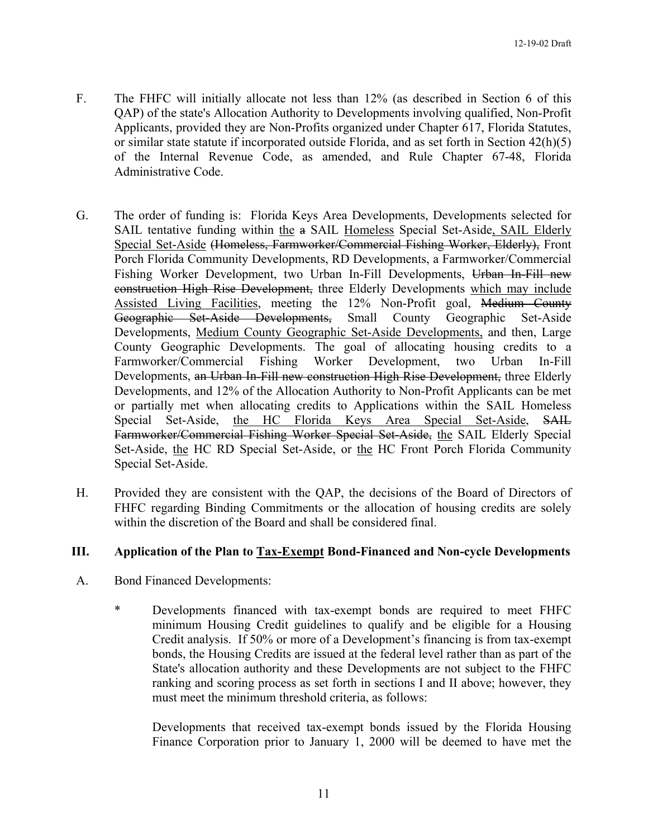- F. The FHFC will initially allocate not less than 12% (as described in Section 6 of this QAP) of the state's Allocation Authority to Developments involving qualified, Non-Profit Applicants, provided they are Non-Profits organized under Chapter 617, Florida Statutes, or similar state statute if incorporated outside Florida, and as set forth in Section 42(h)(5) of the Internal Revenue Code, as amended, and Rule Chapter 67-48, Florida Administrative Code.
- G. The order of funding is: Florida Keys Area Developments, Developments selected for SAIL tentative funding within the a SAIL Homeless Special Set-Aside, SAIL Elderly Special Set-Aside (Homeless, Farmworker/Commercial Fishing Worker, Elderly), Front Porch Florida Community Developments, RD Developments, a Farmworker/Commercial Fishing Worker Development, two Urban In-Fill Developments, Urban In-Fill new construction High Rise Development, three Elderly Developments which may include Assisted Living Facilities, meeting the 12% Non-Profit goal, Medium County Geographic Set-Aside Developments, Small County Geographic Set-Aside Developments, Medium County Geographic Set-Aside Developments, and then, Large County Geographic Developments. The goal of allocating housing credits to a Farmworker/Commercial Fishing Worker Development, two Urban In-Fill Developments, an Urban In-Fill new construction High Rise Development, three Elderly Developments, and 12% of the Allocation Authority to Non-Profit Applicants can be met or partially met when allocating credits to Applications within the SAIL Homeless Special Set-Aside, the HC Florida Keys Area Special Set-Aside, SAIL Farmworker/Commercial Fishing Worker Special Set-Aside, the SAIL Elderly Special Set-Aside, the HC RD Special Set-Aside, or the HC Front Porch Florida Community Special Set-Aside.
- H. Provided they are consistent with the QAP, the decisions of the Board of Directors of FHFC regarding Binding Commitments or the allocation of housing credits are solely within the discretion of the Board and shall be considered final.

# **III. Application of the Plan to Tax-Exempt Bond-Financed and Non-cycle Developments**

- A. Bond Financed Developments:
	- \* Developments financed with tax-exempt bonds are required to meet FHFC minimum Housing Credit guidelines to qualify and be eligible for a Housing Credit analysis. If 50% or more of a Development's financing is from tax-exempt bonds, the Housing Credits are issued at the federal level rather than as part of the State's allocation authority and these Developments are not subject to the FHFC ranking and scoring process as set forth in sections I and II above; however, they must meet the minimum threshold criteria, as follows:

Developments that received tax-exempt bonds issued by the Florida Housing Finance Corporation prior to January 1, 2000 will be deemed to have met the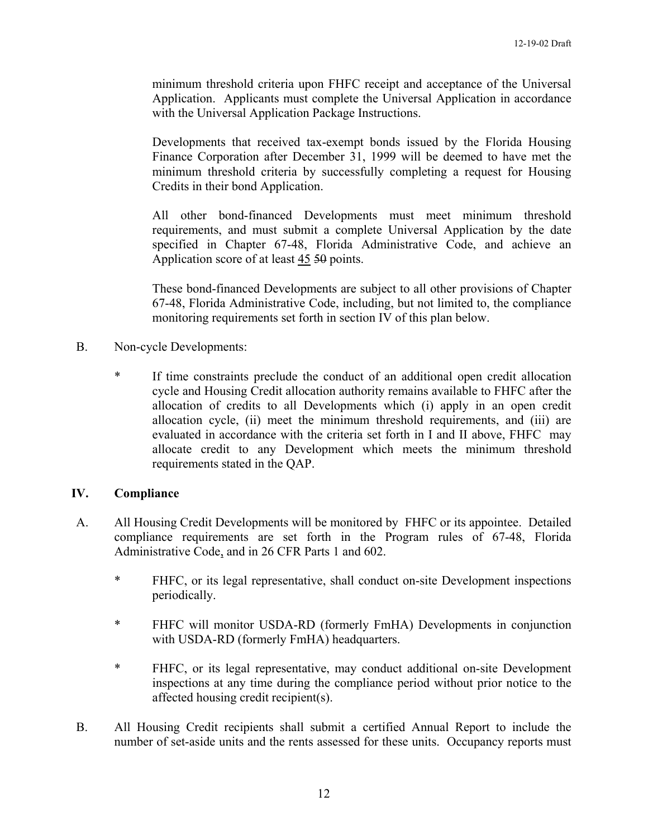minimum threshold criteria upon FHFC receipt and acceptance of the Universal Application. Applicants must complete the Universal Application in accordance with the Universal Application Package Instructions.

Developments that received tax-exempt bonds issued by the Florida Housing Finance Corporation after December 31, 1999 will be deemed to have met the minimum threshold criteria by successfully completing a request for Housing Credits in their bond Application.

All other bond-financed Developments must meet minimum threshold requirements, and must submit a complete Universal Application by the date specified in Chapter 67-48, Florida Administrative Code, and achieve an Application score of at least 45 50 points.

These bond-financed Developments are subject to all other provisions of Chapter 67-48, Florida Administrative Code, including, but not limited to, the compliance monitoring requirements set forth in section IV of this plan below.

- B. Non-cycle Developments:
	- \* If time constraints preclude the conduct of an additional open credit allocation cycle and Housing Credit allocation authority remains available to FHFC after the allocation of credits to all Developments which (i) apply in an open credit allocation cycle, (ii) meet the minimum threshold requirements, and (iii) are evaluated in accordance with the criteria set forth in I and II above, FHFC may allocate credit to any Development which meets the minimum threshold requirements stated in the QAP.

### **IV. Compliance**

- A. All Housing Credit Developments will be monitored by FHFC or its appointee. Detailed compliance requirements are set forth in the Program rules of 67-48, Florida Administrative Code, and in 26 CFR Parts 1 and 602.
	- \* FHFC, or its legal representative, shall conduct on-site Development inspections periodically.
	- \* FHFC will monitor USDA-RD (formerly FmHA) Developments in conjunction with USDA-RD (formerly FmHA) headquarters.
	- \* FHFC, or its legal representative, may conduct additional on-site Development inspections at any time during the compliance period without prior notice to the affected housing credit recipient(s).
- B. All Housing Credit recipients shall submit a certified Annual Report to include the number of set-aside units and the rents assessed for these units. Occupancy reports must